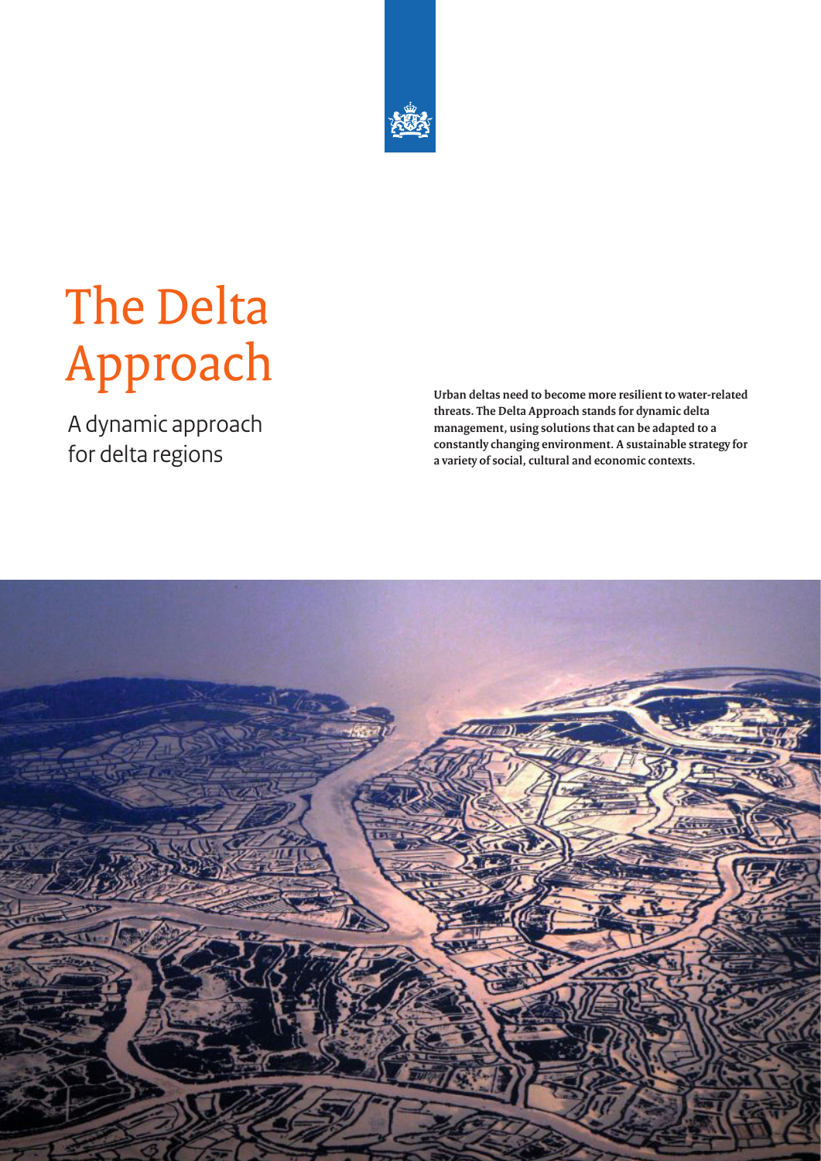

# The Delta Approach

A dynamic approach for delta regions

**Urban deltas need to become more resilient to water-related threats. The Delta Approach stands for dynamic delta management, using solutions that can be adapted to a constantly changing environment. A sustainable strategy for a variety of social, cultural and economic contexts.** 

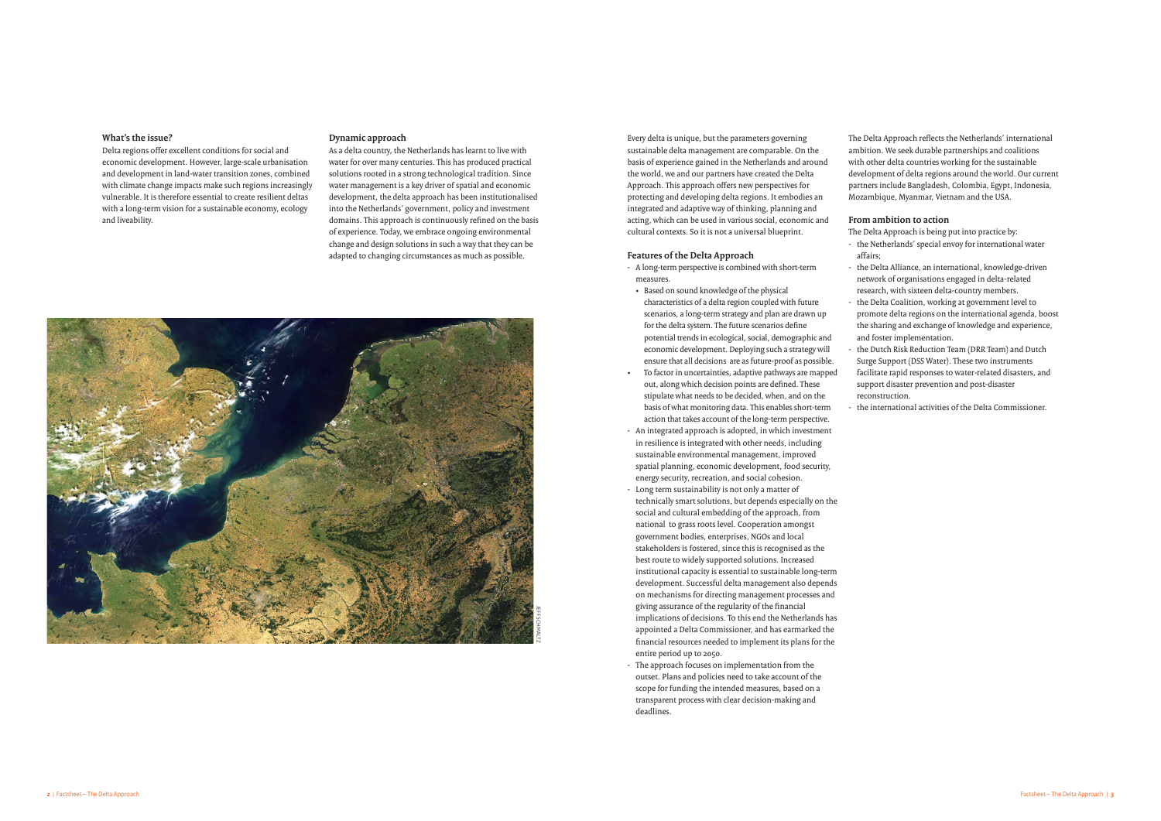### **What's the issue?**

Delta regions offer excellent conditions for social and economic development. However, large-scale urbanisation and development in land-water transition zones, combined with climate change impacts make such regions increasingly vulnerable. It is therefore essential to create resilient deltas with a long-term vision for a sustainable economy, ecology and liveability.

Every delta is unique, but the parameters governing sustainable delta management are comparable. On the basis of experience gained in the Netherlands and around the world, we and our partners have created the Delta Approach. This approach offers new perspectives for protecting and developing delta regions. It embodies an integrated and adaptive way of thinking, planning and acting, which can be used in various social, economic and cultural contexts. So it is not a universal blueprint.

### **Features of the Delta Approach**

- A long-term perspective is combined with short-term measures.
- • Based on sound knowledge of the physical characteristics of a delta region coupled with future scenarios, a long-term strategy and plan are drawn up for the delta system. The future scenarios define potential trends in ecological, social, demographic and economic development. Deploying such a strategy will ensure that all decisions are as future-proof as possible.
- To factor in uncertainties, adaptive pathways are mapped out, along which decision points are defined. These stipulate what needs to be decided, when, and on the basis of what monitoring data. This enables short-term action that takes account of the long-term perspective.
- An integrated approach is adopted, in which investment in resilience is integrated with other needs, including sustainable environmental management, improved spatial planning, economic development, food security, energy security, recreation, and social cohesion.
- Long term sustainability is not only a matter of technically smart solutions, but depends especially on the social and cultural embedding of the approach, from national to grass roots level. Cooperation amongst government bodies, enterprises, NGOs and local stakeholders is fostered, since this is recognised as the best route to widely supported solutions. Increased institutional capacity is essential to sustainable long-term development. Successful delta management also depends on mechanisms for directing management processes and giving assurance of the regularity of the financial implications of decisions. To this end the Netherlands has appointed a Delta Commissioner, and has earmarked the financial resources needed to implement its plans for the entire period up to 2050.
- The approach focuses on implementation from the outset. Plans and policies need to take account of the scope for funding the intended measures, based on a transparent process with clear decision-making and deadlines.

the Dutch Risk Reduction Team (DRR Team) and Dutch Surge Support (DSS Water). These two instruments facilitate rapid responses to water-related disasters, and support disaster prevention and post-disaster reconstruction.

the international activities of the Delta Commissioner.



The Delta Approach reflects the Netherlands' international ambition. We seek durable partnerships and coalitions with other delta countries working for the sustainable development of delta regions around the world. Our current partners include Bangladesh, Colombia, Egypt, Indonesia, Mozambique, Myanmar, Vietnam and the USA.

## **From ambition to action**

The Delta Approach is being put into practice by: - the Netherlands' special envoy for international water

- affairs;
- 
- 
- 
- 

- the Delta Alliance, an international, knowledge-driven network of organisations engaged in delta-related research, with sixteen delta-country members.

- the Delta Coalition, working at government level to promote delta regions on the international agenda, boost the sharing and exchange of knowledge and experience, and foster implementation.

#### **Dynamic approach**

As a delta country, the Netherlands has learnt to live with water for over many centuries. This has produced practical solutions rooted in a strong technological tradition. Since water management is a key driver of spatial and economic development, the delta approach has been institutionalised into the Netherlands' government, policy and investment domains. This approach is continuously refined on the basis of experience. Today, we embrace ongoing environmental change and design solutions in such a way that they can be adapted to changing circumstances as much as possible.